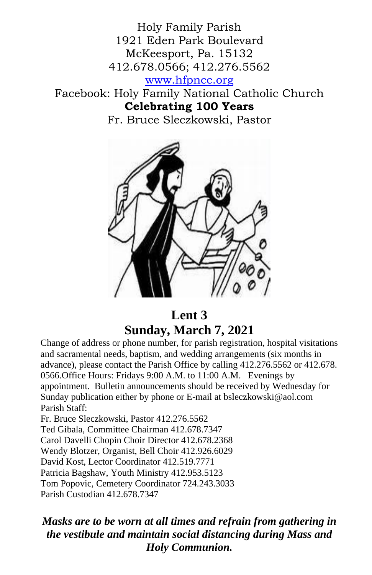Holy Family Parish 1921 Eden Park Boulevard McKeesport, Pa. 15132 412.678.0566; 412.276.5562 [www.hfpncc.org](http://www.hfpncc.org/) Facebook: Holy Family National Catholic Church **Celebrating 100 Years**

Fr. Bruce Sleczkowski, Pastor



# **Lent 3 Sunday, March 7, 2021**

Change of address or phone number, for parish registration, hospital visitations and sacramental needs, baptism, and wedding arrangements (six months in advance), please contact the Parish Office by calling 412.276.5562 or 412.678. 0566.Office Hours: Fridays 9:00 A.M. to 11:00 A.M. Evenings by appointment. Bulletin announcements should be received by Wednesday for Sunday publication either by phone or E-mail at bsleczkowski@aol.com Parish Staff:

Fr. Bruce Sleczkowski, Pastor 412.276.5562 Ted Gibala, Committee Chairman 412.678.7347 Carol Davelli Chopin Choir Director 412.678.2368 Wendy Blotzer, Organist, Bell Choir 412.926.6029 David Kost, Lector Coordinator 412.519.7771 Patricia Bagshaw, Youth Ministry 412.953.5123 Tom Popovic, Cemetery Coordinator 724.243.3033 Parish Custodian 412.678.7347

*Masks are to be worn at all times and refrain from gathering in the vestibule and maintain social distancing during Mass and Holy Communion.*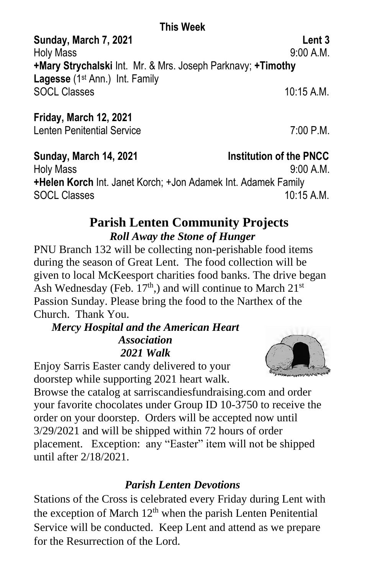## **This Week**

**Sunday, March 7, 2021 Lent 3** Holy Mass 9:00 A.M. **+Mary Strychalski** Int. Mr. & Mrs. Joseph Parknavy; **+Timothy Lagesse** (1st Ann.) Int. Family SOCL Classes 10:15 A.M.

# **Friday, March 12, 2021**

Lenten Penitential Service 7:00 P.M.

## **Sunday, March 14, 2021 Institution of the PNCC**

Holy Mass 9:00 A.M. **+Helen Korch** Int. Janet Korch; +Jon Adamek Int. Adamek Family SOCL Classes 10:15 A M

## **Parish Lenten Community Projects** *Roll Away the Stone of Hunger*

PNU Branch 132 will be collecting non-perishable food items during the season of Great Lent. The food collection will be given to local McKeesport charities food banks. The drive began Ash Wednesday (Feb.  $17<sup>th</sup>$ ,) and will continue to March  $21<sup>st</sup>$ Passion Sunday. Please bring the food to the Narthex of the Church. Thank You.

#### *Mercy Hospital and the American Heart Association 2021 Walk*

Enjoy Sarris Easter candy delivered to your doorstep while supporting 2021 heart walk.

Browse the catalog at sarriscandiesfundraising.com and order your favorite chocolates under Group ID 10-3750 to receive the order on your doorstep. Orders will be accepted now until 3/29/2021 and will be shipped within 72 hours of order placement. Exception: any "Easter" item will not be shipped until after 2/18/2021.

# *Parish Lenten Devotions*

Stations of the Cross is celebrated every Friday during Lent with the exception of March  $12<sup>th</sup>$  when the parish Lenten Penitential Service will be conducted. Keep Lent and attend as we prepare for the Resurrection of the Lord.

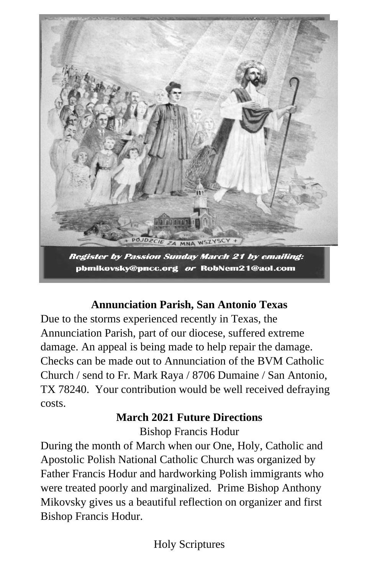

pbmikovsky@pncc.org or RobNem21@aol.com

# **Annunciation Parish, San Antonio Texas**

Due to the storms experienced recently in Texas, the Annunciation Parish, part of our diocese, suffered extreme damage. An appeal is being made to help repair the damage. Checks can be made out to Annunciation of the BVM Catholic Church / send to Fr. Mark Raya / 8706 Dumaine / San Antonio, TX 78240. Your contribution would be well received defraying costs.

## **March 2021 Future Directions**

Bishop Francis Hodur

During the month of March when our One, Holy, Catholic and Apostolic Polish National Catholic Church was organized by Father Francis Hodur and hardworking Polish immigrants who were treated poorly and marginalized. Prime Bishop Anthony Mikovsky gives us a beautiful reflection on organizer and first Bishop Francis Hodur.